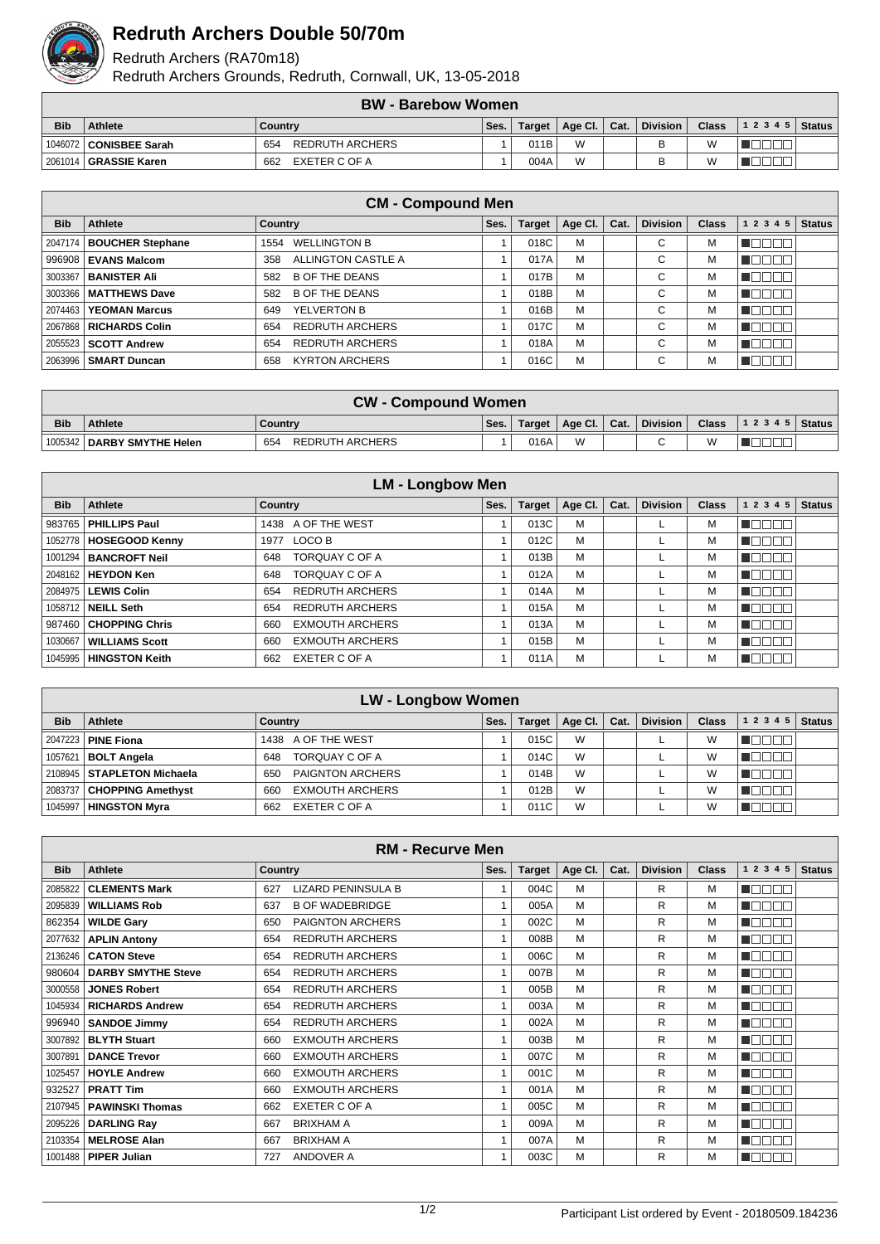

## **Redruth Archers Double 50/70m**

Redruth Archers (RA70m18)

Redruth Archers Grounds, Redruth, Cornwall, UK, 13-05-2018

|            | <b>BW - Barebow Women</b> |                               |  |      |                          |  |                 |              |                |  |  |  |
|------------|---------------------------|-------------------------------|--|------|--------------------------|--|-----------------|--------------|----------------|--|--|--|
| <b>Bib</b> | Athlete<br>Countrv        |                               |  |      | Age Cl.   Cat.<br>Target |  | <b>Division</b> | <b>Class</b> | $12345$ Status |  |  |  |
|            | 1046072 CONISBEE Sarah    | <b>REDRUTH ARCHERS</b><br>654 |  | 011B | W                        |  |                 |              |                |  |  |  |
|            | 2061014   GRASSIE Karen   | EXETER C OF A<br>662          |  | 004A | W                        |  |                 | W            |                |  |  |  |

|            | <b>CM - Compound Men</b>      |                               |      |               |                 |      |                 |              |            |               |  |  |  |
|------------|-------------------------------|-------------------------------|------|---------------|-----------------|------|-----------------|--------------|------------|---------------|--|--|--|
| <b>Bib</b> | Athlete                       | Country                       | Ses. | <b>Target</b> | Age Cl. $\vert$ | Cat. | <b>Division</b> | <b>Class</b> | 1 2 3 4 5  | <b>Status</b> |  |  |  |
|            | 2047174   BOUCHER Stephane    | <b>WELLINGTON B</b><br>1554   |      | 018C          | M               |      | С               | M            | TOE<br>┓   |               |  |  |  |
|            | 996908   EVANS Malcom         | ALLINGTON CASTLE A<br>358     |      | 017A          | M               |      | С               | М            | ╗          |               |  |  |  |
|            | 3003367   BANISTER Ali        | <b>B OF THE DEANS</b><br>582  |      | 017B          | M               |      | С               | M            | ┓<br>TOO   |               |  |  |  |
|            | 3003366   MATTHEWS Dave       | <b>B OF THE DEANS</b><br>582  |      | 018B          | M               |      | С               | М            | ┓          |               |  |  |  |
|            | 2074463   YEOMAN Marcus       | YELVERTON B<br>649            |      | 016B          | M               |      | С               | М            |            |               |  |  |  |
|            | 2067868   RICHARDS Colin      | <b>REDRUTH ARCHERS</b><br>654 |      | 017C          | M               |      | С               | M            | ⊤r<br>TOEL |               |  |  |  |
|            | 2055523   SCOTT Andrew        | <b>REDRUTH ARCHERS</b><br>654 |      | 018A          | M               |      | С               | М            | ור         |               |  |  |  |
|            | 2063996 <b>  SMART Duncan</b> | <b>KYRTON ARCHERS</b><br>658  |      | 016C          | M               |      | C               | м            | П          |               |  |  |  |

|            | <b>CW - Compound Women</b>   |                        |      |        |                                      |  |          |   |  |  |  |  |
|------------|------------------------------|------------------------|------|--------|--------------------------------------|--|----------|---|--|--|--|--|
| <b>Bib</b> | <b>Athlete</b>               | Country                | Ses. | Target | $\parallel$ Age Cl. $\parallel$ Cat. |  | Division |   |  |  |  |  |
|            | 1005342   DARBY SMYTHE Helen | 654<br>REDRUTH ARCHERS |      | 016A   | W                                    |  |          | W |  |  |  |  |

|            | <b>LM - Longbow Men</b>        |                               |      |               |         |      |                 |              |           |               |  |  |  |
|------------|--------------------------------|-------------------------------|------|---------------|---------|------|-----------------|--------------|-----------|---------------|--|--|--|
| <b>Bib</b> | Athlete                        | Country                       | Ses. | <b>Target</b> | Age Cl. | Cat. | <b>Division</b> | <b>Class</b> | 1 2 3 4 5 | <b>Status</b> |  |  |  |
|            | 983765   PHILLIPS Paul         | 1438 A OF THE WEST            |      | 013C          | M       |      |                 | М            |           |               |  |  |  |
|            | 1052778   HOSEGOOD Kenny       | LOCO B<br>1977                |      | 012C          | M       |      |                 | М            |           |               |  |  |  |
|            | 1001294   <b>BANCROFT Neil</b> | TORQUAY C OF A<br>648         |      | 013B          | M       |      |                 | M            | ╜         |               |  |  |  |
|            | 2048162   HEYDON Ken           | <b>TORQUAY C OF A</b><br>648  |      | 012A          | M       |      |                 | М            |           |               |  |  |  |
|            | 2084975   LEWIS Colin          | <b>REDRUTH ARCHERS</b><br>654 |      | 014A          | M       |      |                 | м            |           |               |  |  |  |
|            | 1058712   NEILL Seth           | <b>REDRUTH ARCHERS</b><br>654 |      | 015A          | M       |      |                 | М            |           |               |  |  |  |
|            | 987460 CHOPPING Chris          | <b>EXMOUTH ARCHERS</b><br>660 |      | 013A          | M       |      |                 | м            |           |               |  |  |  |
| 1030667    | <b>WILLIAMS Scott</b>          | <b>EXMOUTH ARCHERS</b><br>660 |      | 015B          | M       |      |                 | м            |           |               |  |  |  |
|            | 1045995   HINGSTON Keith       | EXETER C OF A<br>662          |      | 011A          | M       |      |                 | М            |           |               |  |  |  |

|            | <b>LW - Longbow Women</b>    |                               |      |               |         |      |                 |       |           |               |  |  |  |
|------------|------------------------------|-------------------------------|------|---------------|---------|------|-----------------|-------|-----------|---------------|--|--|--|
| <b>Bib</b> | Athlete                      | Country                       | Ses. | <b>Target</b> | Age Cl. | Cat. | <b>Division</b> | Class | 1 2 3 4 5 | <b>Status</b> |  |  |  |
|            | 2047223   PINE Fiona         | 1438 A OF THE WEST            |      | 015C          | W       |      |                 | W     |           |               |  |  |  |
|            | 1057621   <b>BOLT Angela</b> | TORQUAY C OF A<br>648         |      | 014C          | W       |      |                 | W     |           |               |  |  |  |
|            | 2108945   STAPLETON Michaela | PAIGNTON ARCHERS<br>650       |      | 014B          | W       |      |                 | W     |           |               |  |  |  |
|            | 2083737   CHOPPING Amethyst  | <b>EXMOUTH ARCHERS</b><br>660 |      | 012B          | W       |      |                 | W     |           |               |  |  |  |
|            | 1045997   HINGSTON Myra      | EXETER C OF A<br>662          |      | 011C          | W       |      |                 | W     |           |               |  |  |  |

|            | <b>RM - Recurve Men</b>   |                                  |      |               |         |      |                 |       |              |               |  |  |  |
|------------|---------------------------|----------------------------------|------|---------------|---------|------|-----------------|-------|--------------|---------------|--|--|--|
| <b>Bib</b> | <b>Athlete</b>            | <b>Country</b>                   | Ses. | <b>Target</b> | Age Cl. | Cat. | <b>Division</b> | Class | 1 2 3 4 5    | <b>Status</b> |  |  |  |
| 2085822    | <b>CLEMENTS Mark</b>      | <b>LIZARD PENINSULA B</b><br>627 |      | 004C          | M       |      | R               | M     | AOCI.        |               |  |  |  |
| 2095839    | <b>WILLIAMS Rob</b>       | <b>B OF WADEBRIDGE</b><br>637    | 1    | 005A          | M       |      | R               | м     | HE E E E     |               |  |  |  |
| 862354     | <b>WILDE Gary</b>         | <b>PAIGNTON ARCHERS</b><br>650   |      | 002C          | M       |      | R               | м     | n de e e     |               |  |  |  |
| 2077632    | <b>APLIN Antony</b>       | <b>REDRUTH ARCHERS</b><br>654    |      | 008B          | M       |      | R               | м     | E DE E E     |               |  |  |  |
|            | 2136246   CATON Steve     | <b>REDRUTH ARCHERS</b><br>654    | 1    | 006C          | M       |      | R               | M     | a de Ela     |               |  |  |  |
| 980604     | <b>DARBY SMYTHE Steve</b> | <b>REDRUTH ARCHERS</b><br>654    |      | 007B          | M       |      | R               | M     | TEEN         |               |  |  |  |
| 3000558    | <b>JONES Robert</b>       | <b>REDRUTH ARCHERS</b><br>654    |      | 005B          | M       |      | R               | м     | nnnn         |               |  |  |  |
| 1045934    | <b>RICHARDS Andrew</b>    | <b>REDRUTH ARCHERS</b><br>654    |      | 003A          | M       |      | R               | м     | N DIT<br>300 |               |  |  |  |
| 996940     | <b>SANDOE Jimmy</b>       | <b>REDRUTH ARCHERS</b><br>654    |      | 002A          | M       |      | R               | M     | n de e a     |               |  |  |  |
| 3007892    | <b>BLYTH Stuart</b>       | <b>EXMOUTH ARCHERS</b><br>660    | 1    | 003B          | M       |      | R               | M     | MA DI DI T   |               |  |  |  |
| 3007891    | <b>DANCE Trevor</b>       | <b>EXMOUTH ARCHERS</b><br>660    | 1    | 007C          | M       |      | R               | M     | TE E E E     |               |  |  |  |
| 1025457    | <b>HOYLE Andrew</b>       | <b>EXMOUTH ARCHERS</b><br>660    | 1    | 001C          | M       |      | R               | м     | n da a a     |               |  |  |  |
| 932527     | <b>PRATT Tim</b>          | <b>EXMOUTH ARCHERS</b><br>660    |      | 001A          | M       |      | R               | м     | 1100 E E     |               |  |  |  |
| 2107945    | <b>PAWINSKI Thomas</b>    | <b>EXETER C OF A</b><br>662      |      | 005C          | M       |      | R               | M     | T FIFIT T    |               |  |  |  |
| 2095226    | <b>DARLING Ray</b>        | <b>BRIXHAM A</b><br>667          |      | 009A          | M       |      | R               | м     |              |               |  |  |  |
| 2103354    | <b>MELROSE Alan</b>       | <b>BRIXHAM A</b><br>667          | 1    | 007A          | M       |      | R               | м     |              |               |  |  |  |
|            | 1001488   PIPER Julian    | <b>ANDOVER A</b><br>727          |      | 003C          | M       |      | R               | м     |              |               |  |  |  |